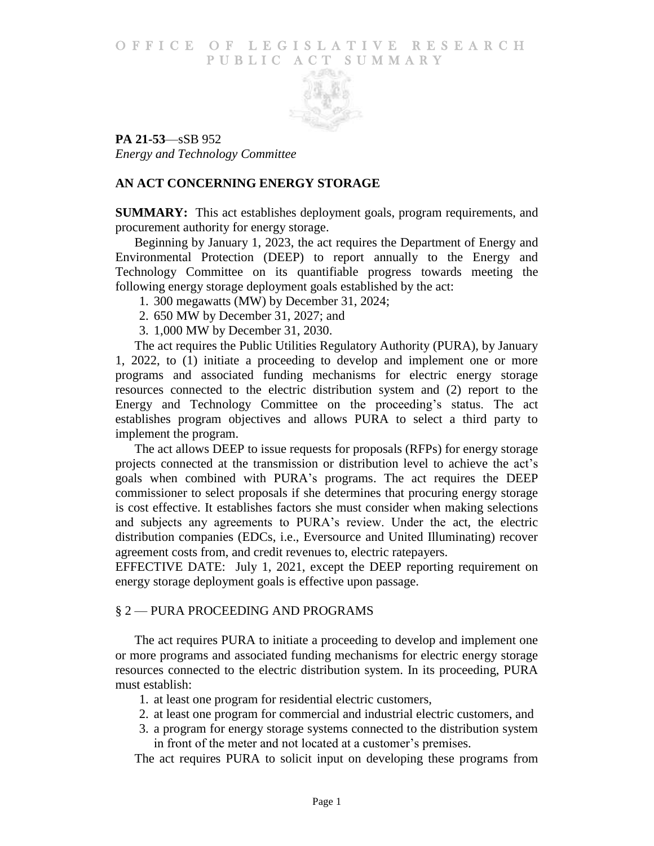#### O F FICE OF LEGISLATIVE RESEARCH PUBLIC ACT SUMMARY



**PA 21-53**—sSB 952 *Energy and Technology Committee*

## **AN ACT CONCERNING ENERGY STORAGE**

**SUMMARY:** This act establishes deployment goals, program requirements, and procurement authority for energy storage.

Beginning by January 1, 2023, the act requires the Department of Energy and Environmental Protection (DEEP) to report annually to the Energy and Technology Committee on its quantifiable progress towards meeting the following energy storage deployment goals established by the act:

- 1. 300 megawatts (MW) by December 31, 2024;
- 2. 650 MW by December 31, 2027; and
- 3. 1,000 MW by December 31, 2030.

The act requires the Public Utilities Regulatory Authority (PURA), by January 1, 2022, to (1) initiate a proceeding to develop and implement one or more programs and associated funding mechanisms for electric energy storage resources connected to the electric distribution system and (2) report to the Energy and Technology Committee on the proceeding's status. The act establishes program objectives and allows PURA to select a third party to implement the program.

The act allows DEEP to issue requests for proposals (RFPs) for energy storage projects connected at the transmission or distribution level to achieve the act's goals when combined with PURA's programs. The act requires the DEEP commissioner to select proposals if she determines that procuring energy storage is cost effective. It establishes factors she must consider when making selections and subjects any agreements to PURA's review. Under the act, the electric distribution companies (EDCs, i.e., Eversource and United Illuminating) recover agreement costs from, and credit revenues to, electric ratepayers.

EFFECTIVE DATE: July 1, 2021, except the DEEP reporting requirement on energy storage deployment goals is effective upon passage.

### § 2 — PURA PROCEEDING AND PROGRAMS

The act requires PURA to initiate a proceeding to develop and implement one or more programs and associated funding mechanisms for electric energy storage resources connected to the electric distribution system. In its proceeding, PURA must establish:

- 1. at least one program for residential electric customers,
- 2. at least one program for commercial and industrial electric customers, and
- 3. a program for energy storage systems connected to the distribution system in front of the meter and not located at a customer's premises.

The act requires PURA to solicit input on developing these programs from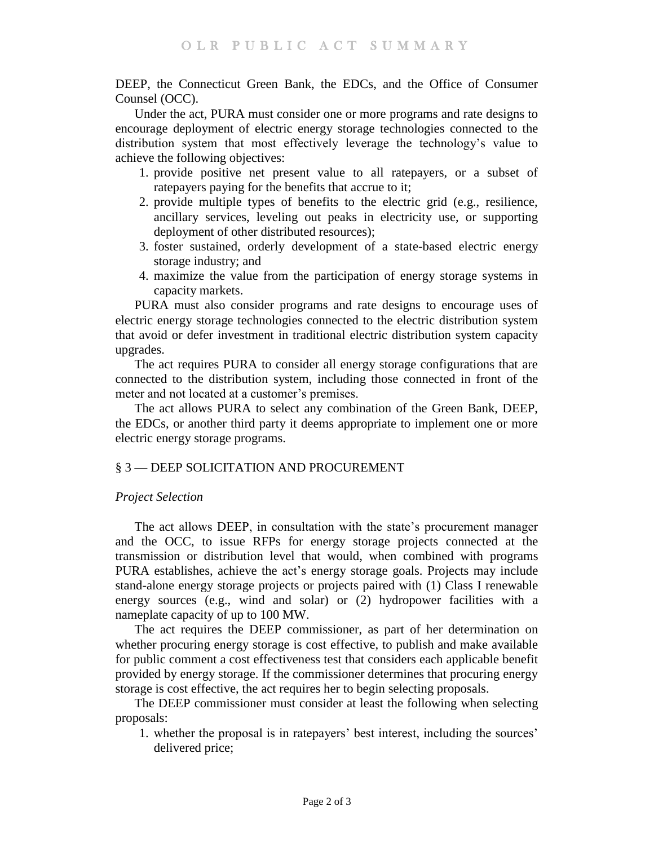DEEP, the Connecticut Green Bank, the EDCs, and the Office of Consumer Counsel (OCC).

Under the act, PURA must consider one or more programs and rate designs to encourage deployment of electric energy storage technologies connected to the distribution system that most effectively leverage the technology's value to achieve the following objectives:

- 1. provide positive net present value to all ratepayers, or a subset of ratepayers paying for the benefits that accrue to it;
- 2. provide multiple types of benefits to the electric grid (e.g., resilience, ancillary services, leveling out peaks in electricity use, or supporting deployment of other distributed resources);
- 3. foster sustained, orderly development of a state-based electric energy storage industry; and
- 4. maximize the value from the participation of energy storage systems in capacity markets.

PURA must also consider programs and rate designs to encourage uses of electric energy storage technologies connected to the electric distribution system that avoid or defer investment in traditional electric distribution system capacity upgrades.

The act requires PURA to consider all energy storage configurations that are connected to the distribution system, including those connected in front of the meter and not located at a customer's premises.

The act allows PURA to select any combination of the Green Bank, DEEP, the EDCs, or another third party it deems appropriate to implement one or more electric energy storage programs.

# § 3 — DEEP SOLICITATION AND PROCUREMENT

### *Project Selection*

The act allows DEEP, in consultation with the state's procurement manager and the OCC, to issue RFPs for energy storage projects connected at the transmission or distribution level that would, when combined with programs PURA establishes, achieve the act's energy storage goals. Projects may include stand-alone energy storage projects or projects paired with (1) Class I renewable energy sources (e.g., wind and solar) or (2) hydropower facilities with a nameplate capacity of up to 100 MW.

The act requires the DEEP commissioner, as part of her determination on whether procuring energy storage is cost effective, to publish and make available for public comment a cost effectiveness test that considers each applicable benefit provided by energy storage. If the commissioner determines that procuring energy storage is cost effective, the act requires her to begin selecting proposals.

The DEEP commissioner must consider at least the following when selecting proposals:

1. whether the proposal is in ratepayers' best interest, including the sources' delivered price;